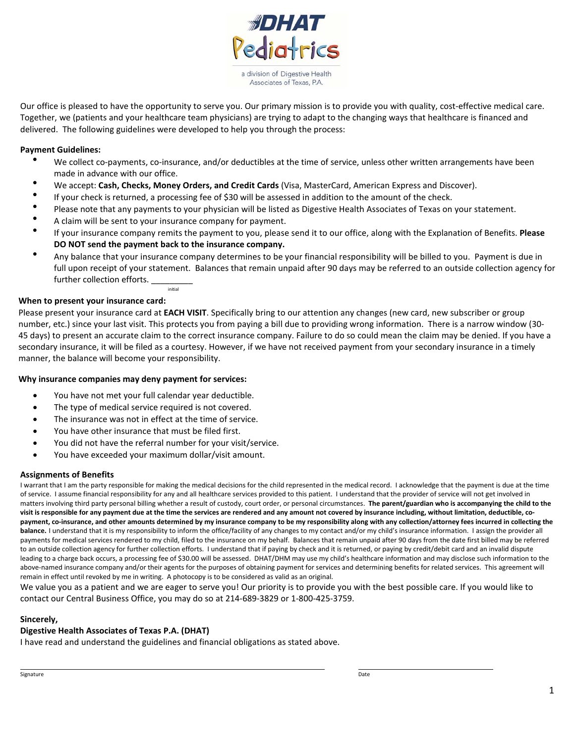

Our office is pleased to have the opportunity to serve you. Our primary mission is to provide you with quality, cost-effective medical care. Together, we (patients and your healthcare team physicians) are trying to adapt to the changing ways that healthcare is financed and delivered. The following guidelines were developed to help you through the process:

- **Payment Guidelines:**<br>• We collect co-payments, co-insurance, and/or deductibles at the time of service, unless other written arrangements have been made in advance with our office.
	- We accept: **Cash, Checks, Money Orders, and Credit Cards** (Visa, MasterCard, American Express and Discover).
	- If your check is returned, a processing fee of \$30 will be assessed in addition to the amount of the check.
	- Please note that any payments to your physician will be listed as Digestive Health Associates of Texas on your statement.
	- A claim will be sent to your insurance company for payment.

initial

- If your insurance company remits the payment to you, please send it to our office, along with the Explanation of Benefits. **Please DO NOT send the payment back to the insurance company.**
- Any balance that your insurance company determines to be your financial responsibility will be billed to you. Payment is due in full upon receipt of your statement. Balances that remain unpaid after 90 days may be referred to an outside collection agency for further collection efforts.

#### **When to present your insurance card:**

Please present your insurance card at **EACH VISIT**. Specifically bring to our attention any changes (new card, new subscriber or group number, etc.) since your last visit. This protects you from paying a bill due to providing wrong information. There is a narrow window (30- 45 days) to present an accurate claim to the correct insurance company. Failure to do so could mean the claim may be denied. If you have a secondary insurance, it will be filed as a courtesy. However, if we have not received payment from your secondary insurance in a timely manner, the balance will become your responsibility.

#### **Why insurance companies may deny payment for services:**

- You have not met your full calendar year deductible.
- The type of medical service required is not covered.
- The insurance was not in effect at the time of service.
- You have other insurance that must be filed first.
- You did not have the referral number for your visit/service.
- You have exceeded your maximum dollar/visit amount.

#### **Assignments of Benefits**

I warrant that I am the party responsible for making the medical decisions for the child represented in the medical record. I acknowledge that the payment is due at the time of service. I assume financial responsibility for any and all healthcare services provided to this patient. I understand that the provider of service will not get involved in matters involving third party personal billing whether a result of custody, court order, or personal circumstances. **The parent/guardian who is accompanying the child to the visit is responsible for any payment due at the time the services are rendered and any amount not covered by insurance including, without limitation, deductible, copayment, co-insurance, and other amounts determined by my insurance company to be my responsibility along with any collection/attorney fees incurred in collecting the**  balance. I understand that it is my responsibility to inform the office/facility of any changes to my contact and/or my child's insurance information. I assign the provider all payments for medical services rendered to my child, filed to the insurance on my behalf. Balances that remain unpaid after 90 days from the date first billed may be referred to an outside collection agency for further collection efforts. I understand that if paying by check and it is returned, or paying by credit/debit card and an invalid dispute leading to a charge back occurs, a processing fee of \$30.00 will be assessed. DHAT/DHM may use my child's healthcare information and may disclose such information to the above-named insurance company and/or their agents for the purposes of obtaining payment for services and determining benefits for related services. This agreement will remain in effect until revoked by me in writing. A photocopy is to be considered as valid as an original.

We value you as a patient and we are eager to serve you! Our priority is to provide you with the best possible care. If you would like to contact our Central Business Office, you may do so at 214-689-3829 or 1-800-425-3759.

#### **Sincerely,**

### **Digestive Health Associates of Texas P.A. (DHAT)**

I have read and understand the guidelines and financial obligations as stated above.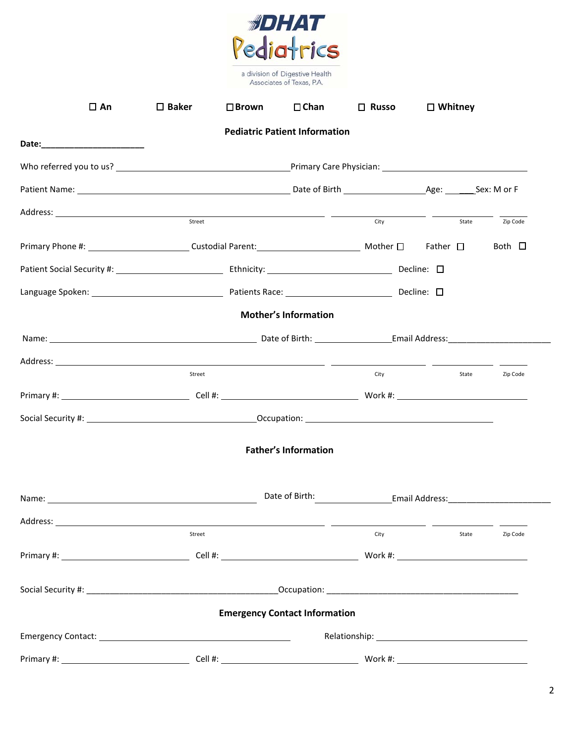

| $\Box$ An                                                                                                                                                                                                                            | $\square$ Baker | $\square$ Brown | $\Box$ Chan                          | $\Box$ Russo | $\Box$ Whitney |             |
|--------------------------------------------------------------------------------------------------------------------------------------------------------------------------------------------------------------------------------------|-----------------|-----------------|--------------------------------------|--------------|----------------|-------------|
|                                                                                                                                                                                                                                      |                 |                 | <b>Pediatric Patient Information</b> |              |                |             |
|                                                                                                                                                                                                                                      |                 |                 |                                      |              |                |             |
|                                                                                                                                                                                                                                      |                 |                 |                                      |              |                |             |
|                                                                                                                                                                                                                                      |                 |                 |                                      |              |                |             |
| Address: <u>street and the street and the street and the street and the street and the street and the street and the street and the street and the street and the street and the street and the street and the street and the st</u> |                 |                 |                                      | City         | State          | Zip Code    |
|                                                                                                                                                                                                                                      |                 |                 |                                      |              |                | Both $\Box$ |
|                                                                                                                                                                                                                                      |                 |                 |                                      |              |                |             |
|                                                                                                                                                                                                                                      |                 |                 |                                      |              |                |             |
|                                                                                                                                                                                                                                      |                 |                 |                                      |              |                |             |
|                                                                                                                                                                                                                                      |                 |                 | <b>Mother's Information</b>          |              |                |             |
|                                                                                                                                                                                                                                      |                 |                 |                                      |              |                |             |
|                                                                                                                                                                                                                                      |                 |                 |                                      |              |                |             |
|                                                                                                                                                                                                                                      | Street          |                 |                                      | City         | State          | Zip Code    |
|                                                                                                                                                                                                                                      |                 |                 |                                      |              |                |             |
|                                                                                                                                                                                                                                      |                 |                 |                                      |              |                |             |
|                                                                                                                                                                                                                                      |                 |                 | <b>Father's Information</b>          |              |                |             |
|                                                                                                                                                                                                                                      |                 |                 |                                      |              |                |             |
|                                                                                                                                                                                                                                      |                 |                 |                                      |              |                |             |
|                                                                                                                                                                                                                                      | Street          |                 |                                      | City         | State          | Zip Code    |
|                                                                                                                                                                                                                                      |                 |                 |                                      |              |                |             |
|                                                                                                                                                                                                                                      |                 |                 |                                      |              |                |             |
|                                                                                                                                                                                                                                      |                 |                 | <b>Emergency Contact Information</b> |              |                |             |
|                                                                                                                                                                                                                                      |                 |                 |                                      |              |                |             |
|                                                                                                                                                                                                                                      |                 |                 |                                      |              |                |             |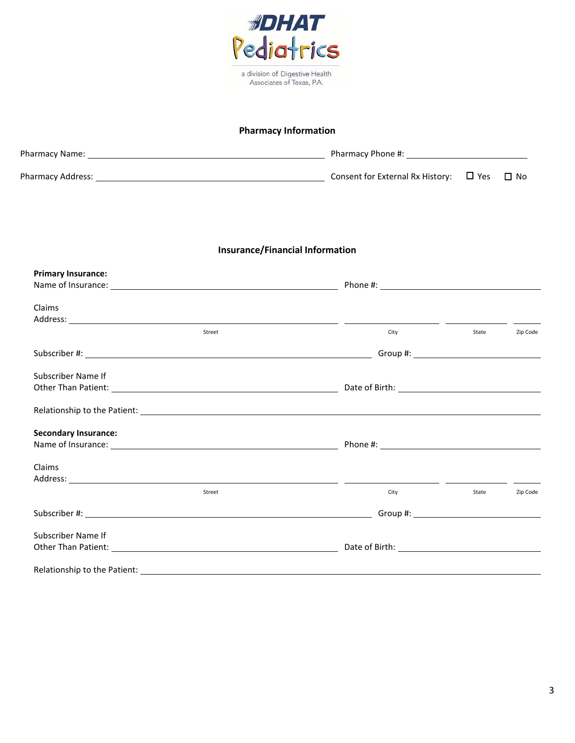

# **Pharmacy Information**

| Pharmacy Name:    | Pharmacy Phone #:                           |           |
|-------------------|---------------------------------------------|-----------|
| Pharmacy Address: | Consent for External Rx History: $\Box$ Yes | $\Box$ No |

# **Insurance/Financial Information**

| <b>Primary Insurance:</b>   |        |                                                                                                                                                                                                                                |       |          |
|-----------------------------|--------|--------------------------------------------------------------------------------------------------------------------------------------------------------------------------------------------------------------------------------|-------|----------|
|                             |        | Phone #: the contract of the contract of the contract of the contract of the contract of the contract of the contract of the contract of the contract of the contract of the contract of the contract of the contract of the c |       |          |
| Claims                      |        |                                                                                                                                                                                                                                |       |          |
|                             |        |                                                                                                                                                                                                                                |       |          |
|                             | Street | City                                                                                                                                                                                                                           | State | Zip Code |
|                             |        |                                                                                                                                                                                                                                |       |          |
| Subscriber Name If          |        |                                                                                                                                                                                                                                |       |          |
|                             |        |                                                                                                                                                                                                                                |       |          |
|                             |        |                                                                                                                                                                                                                                |       |          |
| <b>Secondary Insurance:</b> |        |                                                                                                                                                                                                                                |       |          |
|                             |        |                                                                                                                                                                                                                                |       |          |
| Claims                      |        |                                                                                                                                                                                                                                |       |          |
|                             |        |                                                                                                                                                                                                                                |       |          |
|                             | Street | City                                                                                                                                                                                                                           | State | Zip Code |
|                             |        |                                                                                                                                                                                                                                |       |          |
| Subscriber Name If          |        |                                                                                                                                                                                                                                |       |          |
|                             |        | Date of Birth: The Contract of Birth:                                                                                                                                                                                          |       |          |
|                             |        |                                                                                                                                                                                                                                |       |          |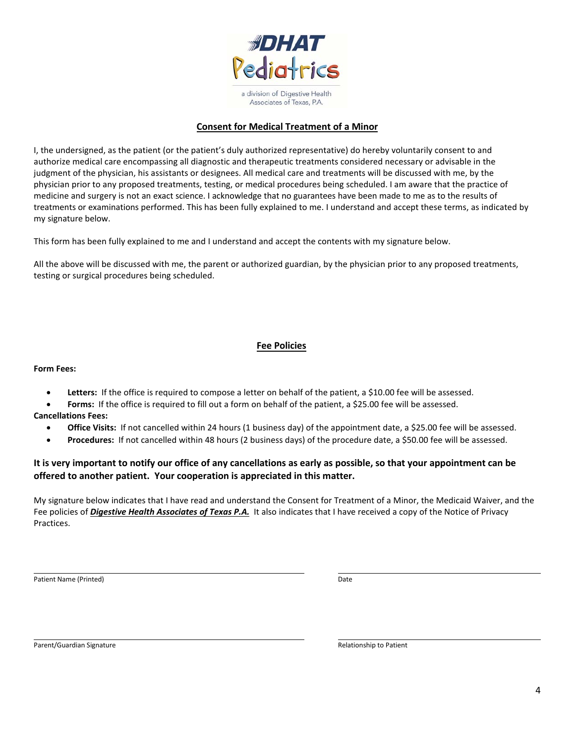

# **Consent for Medical Treatment of a Minor**

I, the undersigned, as the patient (or the patient's duly authorized representative) do hereby voluntarily consent to and authorize medical care encompassing all diagnostic and therapeutic treatments considered necessary or advisable in the judgment of the physician, his assistants or designees. All medical care and treatments will be discussed with me, by the physician prior to any proposed treatments, testing, or medical procedures being scheduled. I am aware that the practice of medicine and surgery is not an exact science. I acknowledge that no guarantees have been made to me as to the results of treatments or examinations performed. This has been fully explained to me. I understand and accept these terms, as indicated by my signature below.

This form has been fully explained to me and I understand and accept the contents with my signature below.

All the above will be discussed with me, the parent or authorized guardian, by the physician prior to any proposed treatments, testing or surgical procedures being scheduled.

# **Fee Policies**

#### **Form Fees:**

- **•** Letters: If the office is required to compose a letter on behalf of the patient, a \$10.00 fee will be assessed.
- Forms: If the office is required to fill out a form on behalf of the patient, a \$25.00 fee will be assessed.
- **Cancellations Fees:**
	- **Office Visits:** If not cancelled within 24 hours (1 business day) of the appointment date, a \$25.00 fee will be assessed.
	- **Procedures:** If not cancelled within 48 hours (2 business days) of the procedure date, a \$50.00 fee will be assessed.

# **It is very important to notify our office of any cancellations as early as possible, so that your appointment can be offered to another patient. Your cooperation is appreciated in this matter.**

My signature below indicates that I have read and understand the Consent for Treatment of a Minor, the Medicaid Waiver, and the Fee policies of *Digestive Health Associates of Texas P.A.* It also indicates that I have received a copy of the Notice of Privacy Practices.

Patient Name (Printed) and Date of the Contract of the Contract of the Contract of the Date of the Date of the Date of the Date of the Date of the Date of the Date of the Date of the Date of the Date of the Date of the Dat

Parent/Guardian Signature **Relationship to Patient** Parent/Guardian Signature Relationship to Patient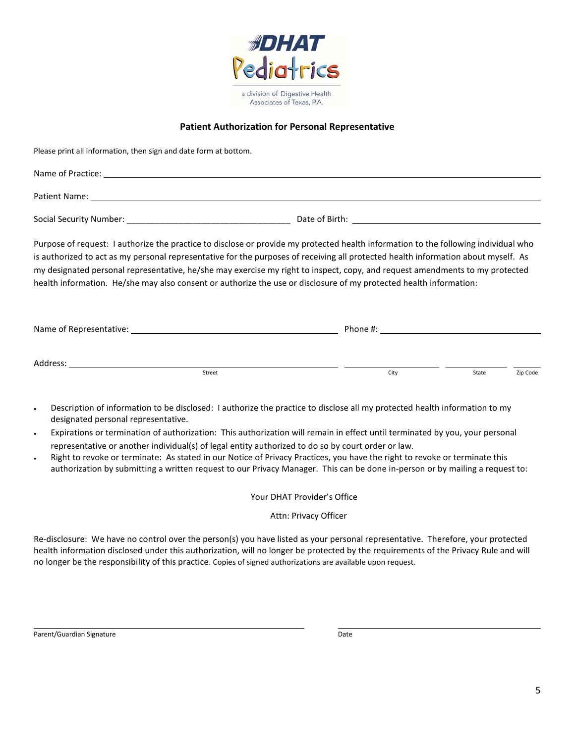

# **Patient Authorization for Personal Representative**

| Please print all information, then sign and date form at bottom.                                                                                                                                                                                                                                                                                                                                                                                                                                                                |      |                   |
|---------------------------------------------------------------------------------------------------------------------------------------------------------------------------------------------------------------------------------------------------------------------------------------------------------------------------------------------------------------------------------------------------------------------------------------------------------------------------------------------------------------------------------|------|-------------------|
|                                                                                                                                                                                                                                                                                                                                                                                                                                                                                                                                 |      |                   |
|                                                                                                                                                                                                                                                                                                                                                                                                                                                                                                                                 |      |                   |
|                                                                                                                                                                                                                                                                                                                                                                                                                                                                                                                                 |      |                   |
| Purpose of request: I authorize the practice to disclose or provide my protected health information to the following individual who<br>is authorized to act as my personal representative for the purposes of receiving all protected health information about myself. As<br>my designated personal representative, he/she may exercise my right to inspect, copy, and request amendments to my protected<br>health information. He/she may also consent or authorize the use or disclosure of my protected health information: |      |                   |
|                                                                                                                                                                                                                                                                                                                                                                                                                                                                                                                                 |      |                   |
|                                                                                                                                                                                                                                                                                                                                                                                                                                                                                                                                 |      |                   |
| Street                                                                                                                                                                                                                                                                                                                                                                                                                                                                                                                          | City | Zip Code<br>State |

- Description of information to be disclosed: I authorize the practice to disclose all my protected health information to my designated personal representative.
- Expirations or termination of authorization: This authorization will remain in effect until terminated by you, your personal representative or another individual(s) of legal entity authorized to do so by court order or law.
- Right to revoke or terminate: As stated in our Notice of Privacy Practices, you have the right to revoke or terminate this authorization by submitting a written request to our Privacy Manager. This can be done in-person or by mailing a request to:

Your DHAT Provider's Office

#### Attn: Privacy Officer

Re-disclosure: We have no control over the person(s) you have listed as your personal representative. Therefore, your protected health information disclosed under this authorization, will no longer be protected by the requirements of the Privacy Rule and will no longer be the responsibility of this practice. Copies of signed authorizations are available upon request.

Parent/Guardian Signature **Date** Date of Parent and Date of Parent and Date of Parent and Date of Parent and Date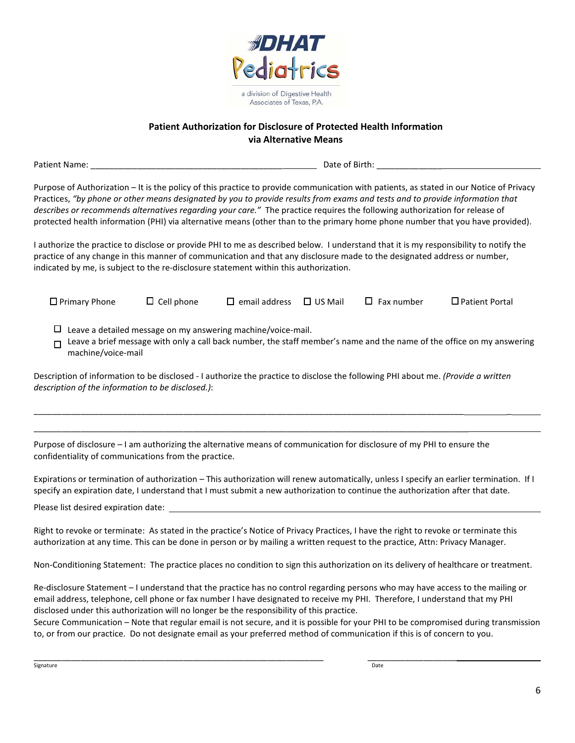

# **Patient Authorization for Disclosure of Protected Health Information via Alternative Means**

Patient Name: \_\_\_\_\_\_\_\_\_\_\_\_\_\_\_\_\_\_\_\_\_\_\_\_\_\_\_\_\_\_\_\_\_\_\_\_\_\_\_\_\_ Date of Birth: \_\_\_\_\_\_\_\_\_\_\_\_\_\_

Purpose of Authorization – It is the policy of this practice to provide communication with patients, as stated in our Notice of Privacy Practices, *"by phone or other means designated by you to provide results from exams and tests and to provide information that describes or recommends alternatives regarding your care."* The practice requires the following authorization for release of protected health information (PHI) via alternative means (other than to the primary home phone number that you have provided).

I authorize the practice to disclose or provide PHI to me as described below. I understand that it is my responsibility to notify the practice of any change in this manner of communication and that any disclosure made to the designated address or number, indicated by me, is subject to the re-disclosure statement within this authorization.

| $\Box$ Primary Phone                                                                                                                             | $\Box$ Cell phone                                            | $\Box$ email address | $\square$ US Mail | $\Box$ Fax number | $\Box$ Patient Portal                                                                                                  |
|--------------------------------------------------------------------------------------------------------------------------------------------------|--------------------------------------------------------------|----------------------|-------------------|-------------------|------------------------------------------------------------------------------------------------------------------------|
| п<br>machine/voice-mail                                                                                                                          | Leave a detailed message on my answering machine/voice-mail. |                      |                   |                   | Leave a brief message with only a call back number, the staff member's name and the name of the office on my answering |
| $\alpha$ is relation of information to be disclosed - Lauthorize the practice to disclose the following PHI about me <i>(Provide a written</i> ) |                                                              |                      |                   |                   |                                                                                                                        |

Description of information to be disclosed - I authorize the practice to disclose the following PHI about me. *(Provide a written description of the information to be disclosed.)*:

\_\_\_\_\_\_\_\_\_\_\_\_\_\_\_\_\_\_\_\_\_\_\_\_\_\_\_\_\_\_\_\_\_\_\_\_\_\_\_\_\_\_\_\_\_\_\_\_\_\_\_\_\_\_\_\_\_\_\_\_\_\_\_\_\_\_\_\_\_\_\_\_\_\_\_\_\_\_\_\_\_\_\_\_\_\_\_\_\_\_\_\_ \_

Purpose of disclosure – I am authorizing the alternative means of communication for disclosure of my PHI to ensure the confidentiality of communications from the practice.

\_\_\_\_\_\_\_\_\_\_\_\_\_\_\_\_\_\_\_\_\_\_\_\_\_\_\_\_\_\_\_\_\_\_\_\_\_\_\_\_\_\_\_\_\_\_\_\_\_\_\_\_\_\_\_\_\_\_\_\_\_\_\_\_\_\_\_\_\_\_\_\_\_\_\_\_\_\_\_\_\_\_\_\_\_\_\_\_\_\_\_\_\_

Expirations or termination of authorization – This authorization will renew automatically, unless I specify an earlier termination. If I specify an expiration date, I understand that I must submit a new authorization to continue the authorization after that date.

Please list desired expiration date:

Right to revoke or terminate: As stated in the practice's Notice of Privacy Practices, I have the right to revoke or terminate this authorization at any time. This can be done in person or by mailing a written request to the practice, Attn: Privacy Manager.

Non-Conditioning Statement: The practice places no condition to sign this authorization on its delivery of healthcare or treatment.

Re-disclosure Statement – I understand that the practice has no control regarding persons who may have access to the mailing or email address, telephone, cell phone or fax number I have designated to receive my PHI. Therefore, I understand that my PHI disclosed under this authorization will no longer be the responsibility of this practice.

\_\_\_\_\_\_\_\_\_\_\_\_\_\_\_\_\_\_\_\_\_\_\_\_\_\_\_\_\_\_\_\_\_\_\_\_\_\_\_\_\_\_\_\_\_\_\_\_\_\_\_\_\_\_\_\_\_\_\_\_\_\_ \_\_\_\_\_\_\_\_\_\_\_\_\_\_\_\_\_\_\_

Secure Communication – Note that regular email is not secure, and it is possible for your PHI to be compromised during transmission to, or from our practice. Do not designate email as your preferred method of communication if this is of concern to you.

signature **Date**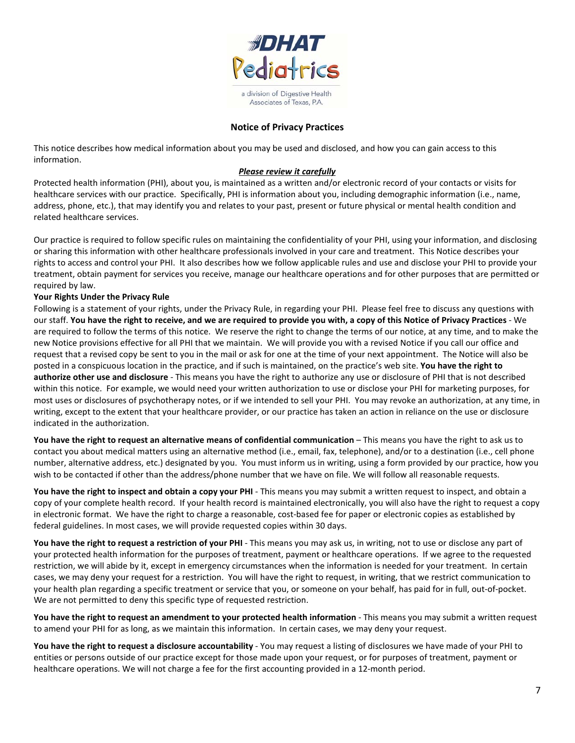

## **Notice of Privacy Practices**

This notice describes how medical information about you may be used and disclosed, and how you can gain access to this information.

#### *Please review it carefully*

Protected health information (PHI), about you, is maintained as a written and/or electronic record of your contacts or visits for healthcare services with our practice. Specifically, PHI is information about you, including demographic information (i.e., name, address, phone, etc.), that may identify you and relates to your past, present or future physical or mental health condition and related healthcare services.

Our practice is required to follow specific rules on maintaining the confidentiality of your PHI, using your information, and disclosing or sharing this information with other healthcare professionals involved in your care and treatment. This Notice describes your rights to access and control your PHI. It also describes how we follow applicable rules and use and disclose your PHI to provide your treatment, obtain payment for services you receive, manage our healthcare operations and for other purposes that are permitted or required by law.

#### **Your Rights Under the Privacy Rule**

Following is a statement of your rights, under the Privacy Rule, in regarding your PHI. Please feel free to discuss any questions with our staff. **You have the right to receive, and we are required to provide you with, a copy of this Notice of Privacy Practices** - We are required to follow the terms of this notice. We reserve the right to change the terms of our notice, at any time, and to make the new Notice provisions effective for all PHI that we maintain. We will provide you with a revised Notice if you call our office and request that a revised copy be sent to you in the mail or ask for one at the time of your next appointment. The Notice will also be posted in a conspicuous location in the practice, and if such is maintained, on the practice's web site. **You have the right to authorize other use and disclosure** - This means you have the right to authorize any use or disclosure of PHI that is not described within this notice. For example, we would need your written authorization to use or disclose your PHI for marketing purposes, for most uses or disclosures of psychotherapy notes, or if we intended to sell your PHI. You may revoke an authorization, at any time, in writing, except to the extent that your healthcare provider, or our practice has taken an action in reliance on the use or disclosure indicated in the authorization.

**You have the right to request an alternative means of confidential communication** – This means you have the right to ask us to contact you about medical matters using an alternative method (i.e., email, fax, telephone), and/or to a destination (i.e., cell phone number, alternative address, etc.) designated by you. You must inform us in writing, using a form provided by our practice, how you wish to be contacted if other than the address/phone number that we have on file. We will follow all reasonable requests.

**You have the right to inspect and obtain a copy your PHI** - This means you may submit a written request to inspect, and obtain a copy of your complete health record. If your health record is maintained electronically, you will also have the right to request a copy in electronic format. We have the right to charge a reasonable, cost-based fee for paper or electronic copies as established by federal guidelines. In most cases, we will provide requested copies within 30 days.

**You have the right to request a restriction of your PHI** - This means you may ask us, in writing, not to use or disclose any part of your protected health information for the purposes of treatment, payment or healthcare operations. If we agree to the requested restriction, we will abide by it, except in emergency circumstances when the information is needed for your treatment. In certain cases, we may deny your request for a restriction. You will have the right to request, in writing, that we restrict communication to your health plan regarding a specific treatment or service that you, or someone on your behalf, has paid for in full, out-of-pocket. We are not permitted to deny this specific type of requested restriction.

**You have the right to request an amendment to your protected health information** - This means you may submit a written request to amend your PHI for as long, as we maintain this information. In certain cases, we may deny your request.

**You have the right to request a disclosure accountability** - You may request a listing of disclosures we have made of your PHI to entities or persons outside of our practice except for those made upon your request, or for purposes of treatment, payment or healthcare operations. We will not charge a fee for the first accounting provided in a 12-month period.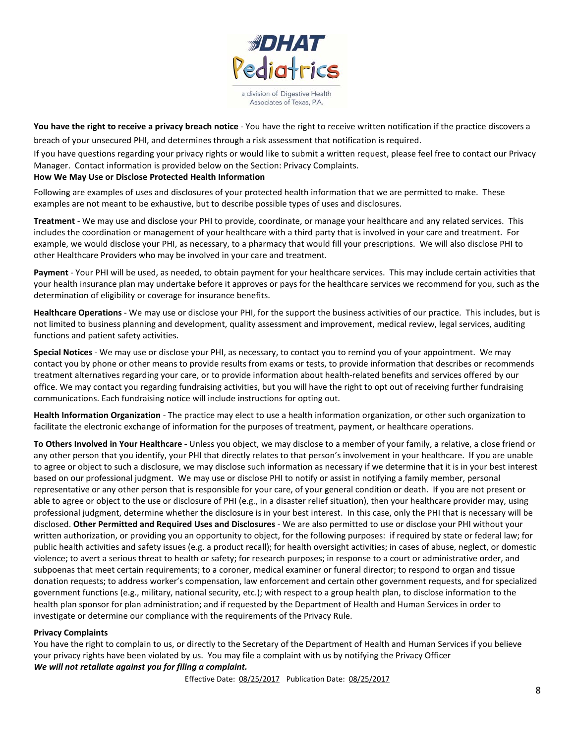

**You have the right to receive a privacy breach notice** - You have the right to receive written notification if the practice discovers a breach of your unsecured PHI, and determines through a risk assessment that notification is required.

If you have questions regarding your privacy rights or would like to submit a written request, please feel free to contact our Privacy Manager. Contact information is provided below on the Section: Privacy Complaints.

### **How We May Use or Disclose Protected Health Information**

Following are examples of uses and disclosures of your protected health information that we are permitted to make. These examples are not meant to be exhaustive, but to describe possible types of uses and disclosures.

**Treatment** - We may use and disclose your PHI to provide, coordinate, or manage your healthcare and any related services. This includes the coordination or management of your healthcare with a third party that is involved in your care and treatment. For example, we would disclose your PHI, as necessary, to a pharmacy that would fill your prescriptions. We will also disclose PHI to other Healthcare Providers who may be involved in your care and treatment.

**Payment** - Your PHI will be used, as needed, to obtain payment for your healthcare services. This may include certain activities that your health insurance plan may undertake before it approves or pays for the healthcare services we recommend for you, such as the determination of eligibility or coverage for insurance benefits.

**Healthcare Operations** - We may use or disclose your PHI, for the support the business activities of our practice. This includes, but is not limited to business planning and development, quality assessment and improvement, medical review, legal services, auditing functions and patient safety activities.

**Special Notices** - We may use or disclose your PHI, as necessary, to contact you to remind you of your appointment. We may contact you by phone or other means to provide results from exams or tests, to provide information that describes or recommends treatment alternatives regarding your care, or to provide information about health-related benefits and services offered by our office. We may contact you regarding fundraising activities, but you will have the right to opt out of receiving further fundraising communications. Each fundraising notice will include instructions for opting out.

**Health Information Organization** - The practice may elect to use a health information organization, or other such organization to facilitate the electronic exchange of information for the purposes of treatment, payment, or healthcare operations.

**To Others Involved in Your Healthcare -** Unless you object, we may disclose to a member of your family, a relative, a close friend or any other person that you identify, your PHI that directly relates to that person's involvement in your healthcare. If you are unable to agree or object to such a disclosure, we may disclose such information as necessary if we determine that it is in your best interest based on our professional judgment. We may use or disclose PHI to notify or assist in notifying a family member, personal representative or any other person that is responsible for your care, of your general condition or death. If you are not present or able to agree or object to the use or disclosure of PHI (e.g., in a disaster relief situation), then your healthcare provider may, using professional judgment, determine whether the disclosure is in your best interest. In this case, only the PHI that is necessary will be disclosed. **Other Permitted and Required Uses and Disclosures** - We are also permitted to use or disclose your PHI without your written authorization, or providing you an opportunity to object, for the following purposes: if required by state or federal law; for public health activities and safety issues (e.g. a product recall); for health oversight activities; in cases of abuse, neglect, or domestic violence; to avert a serious threat to health or safety; for research purposes; in response to a court or administrative order, and subpoenas that meet certain requirements; to a coroner, medical examiner or funeral director; to respond to organ and tissue donation requests; to address worker's compensation, law enforcement and certain other government requests, and for specialized government functions (e.g., military, national security, etc.); with respect to a group health plan, to disclose information to the health plan sponsor for plan administration; and if requested by the Department of Health and Human Services in order to investigate or determine our compliance with the requirements of the Privacy Rule.

### **Privacy Complaints**

You have the right to complain to us, or directly to the Secretary of the Department of Health and Human Services if you believe your privacy rights have been violated by us. You may file a complaint with us by notifying the Privacy Officer *We will not retaliate against you for filing a complaint.*

Effective Date: 08/25/2017 Publication Date: 08/25/2017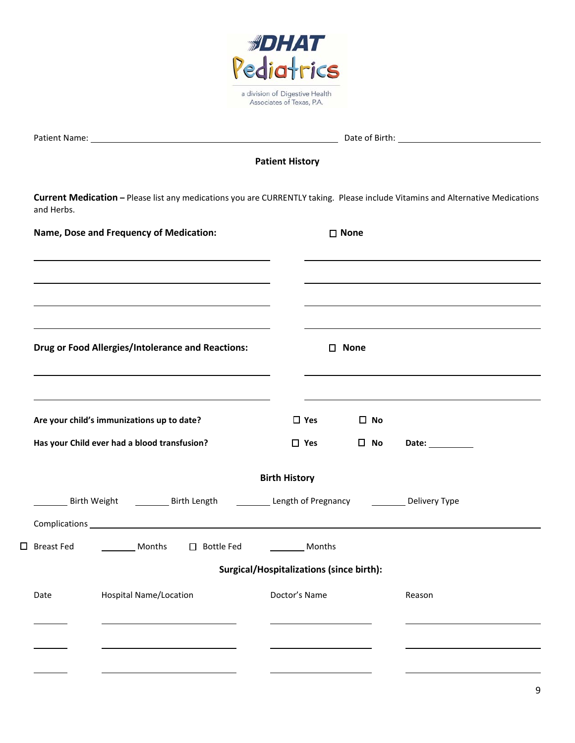

| Patient Name: |  |
|---------------|--|
|               |  |

Date of Birth: 2000

**Patient History**

**Current Medication –** Please list any medications you are CURRENTLY taking. Please include Vitamins and Alternative Medications and Herbs.

|                   | Name, Dose and Frequency of Medication:                                                                 |                                                 |            | □ None         |                 |  |
|-------------------|---------------------------------------------------------------------------------------------------------|-------------------------------------------------|------------|----------------|-----------------|--|
|                   |                                                                                                         |                                                 |            |                |                 |  |
|                   | <b>Drug or Food Allergies/Intolerance and Reactions:</b>                                                |                                                 |            | $\square$ None |                 |  |
|                   |                                                                                                         |                                                 |            |                |                 |  |
|                   | Are your child's immunizations up to date?                                                              |                                                 | $\Box$ Yes | $\Box$ No      |                 |  |
|                   | Has your Child ever had a blood transfusion?                                                            |                                                 | $\Box$ Yes | $\square$ No   | Date: _________ |  |
|                   |                                                                                                         | <b>Birth History</b>                            |            |                |                 |  |
|                   | Birth Weight <b>Example 2</b> Birth Length <b>Example 2 Length of Pregnancy Example 2 Delivery Type</b> |                                                 |            |                |                 |  |
| $\Box$ Breast Fed | <b>Nonths</b> □ Bottle Fed <u>Nonths</u>                                                                |                                                 |            |                |                 |  |
|                   |                                                                                                         | <b>Surgical/Hospitalizations (since birth):</b> |            |                |                 |  |
| Date              | <b>Hospital Name/Location</b>                                                                           | Doctor's Name                                   |            |                | Reason          |  |
|                   |                                                                                                         |                                                 |            |                |                 |  |
|                   |                                                                                                         |                                                 |            |                |                 |  |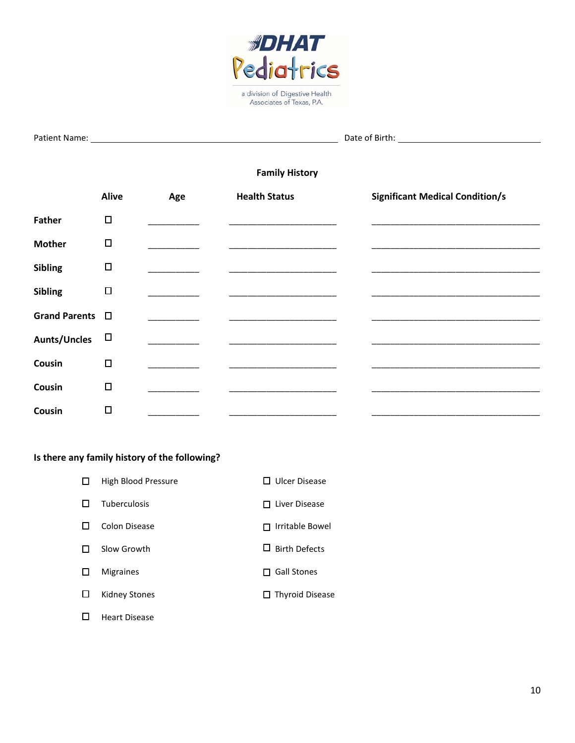

| <b>Patient Name:</b> |  |
|----------------------|--|
|                      |  |

**Pate of Birth:** 2008

# **Family History**

|                         | <b>Alive</b> | Age | <b>Health Status</b>         | <b>Significant Medical Condition/s</b> |
|-------------------------|--------------|-----|------------------------------|----------------------------------------|
| <b>Father</b>           | $\Box$       |     |                              |                                        |
| <b>Mother</b>           | $\Box$       |     |                              |                                        |
| <b>Sibling</b>          | $\Box$       |     |                              |                                        |
| <b>Sibling</b>          | $\Box$       |     |                              |                                        |
| Grand Parents $\square$ |              |     |                              |                                        |
| <b>Aunts/Uncles</b>     | $\Box$       |     |                              |                                        |
| Cousin                  | $\Box$       |     |                              |                                        |
| Cousin                  | $\Box$       |     |                              |                                        |
| Cousin                  | $\Box$       |     | ____________________________ |                                        |

# **Is there any family history of the following?**

| High Blood Pressure  | $\Box$ Ulcer Disease   |
|----------------------|------------------------|
| <b>Tuberculosis</b>  | Liver Disease          |
| Colon Disease        | Irritable Bowel        |
| Slow Growth          | $\Box$ Birth Defects   |
| <b>Migraines</b>     | <b>Gall Stones</b>     |
| Kidney Stones        | $\Box$ Thyroid Disease |
| <b>Heart Disease</b> |                        |